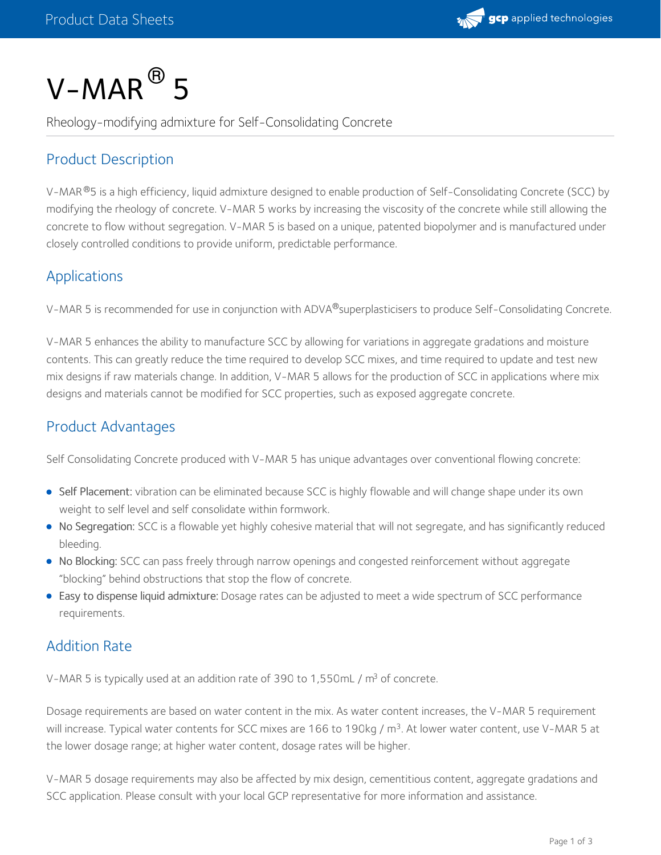

# $V$ – $MAR$  $^{\circledR}$  5

Rheology-modifying admixture for Self-Consolidating Concrete

## Product Description

V-MAR®5 is a high efficiency, liquid admixture designed to enable production of Self-Consolidating Concrete (SCC) by modifying the rheology of concrete. V-MAR 5 works by increasing the viscosity of the concrete while still allowing the concrete to flow without segregation. V-MAR 5 is based on a unique, patented biopolymer and is manufactured under closely controlled conditions to provide uniform, predictable performance.

### Applications

V-MAR 5 is recommended for use in conjunction with ADVA®superplasticisers to produce Self-Consolidating Concrete.

V-MAR 5 enhances the ability to manufacture SCC by allowing for variations in aggregate gradations and moisture contents. This can greatly reduce the time required to develop SCC mixes, and time required to update and test new mix designs if raw materials change. In addition, V-MAR 5 allows for the production of SCC in applications where mix designs and materials cannot be modified for SCC properties, such as exposed aggregate concrete.

## Product Advantages

Self Consolidating Concrete produced with V-MAR 5 has unique advantages over conventional flowing concrete:

- Self Placement: vibration can be eliminated because SCC is highly flowable and will change shape under its own weight to self level and self consolidate within formwork.
- No Segregation: SCC is a flowable yet highly cohesive material that will not segregate, and has significantly reduced bleeding.
- No Blocking: SCC can pass freely through narrow openings and congested reinforcement without aggregate "blocking" behind obstructions that stop the flow of concrete.
- Easy to dispense liquid admixture: Dosage rates can be adjusted to meet a wide spectrum of SCC performance requirements.

## Addition Rate

V-MAR 5 is typically used at an addition rate of 390 to 1,550mL /  $m^3$  of concrete.

Dosage requirements are based on water content in the mix. As water content increases, the V-MAR 5 requirement will increase. Typical water contents for SCC mixes are 166 to 190kg / m<sup>3</sup>. At lower water content, use V-MAR 5 at the lower dosage range; at higher water content, dosage rates will be higher.

V-MAR 5 dosage requirements may also be affected by mix design, cementitious content, aggregate gradations and SCC application. Please consult with your local GCP representative for more information and assistance.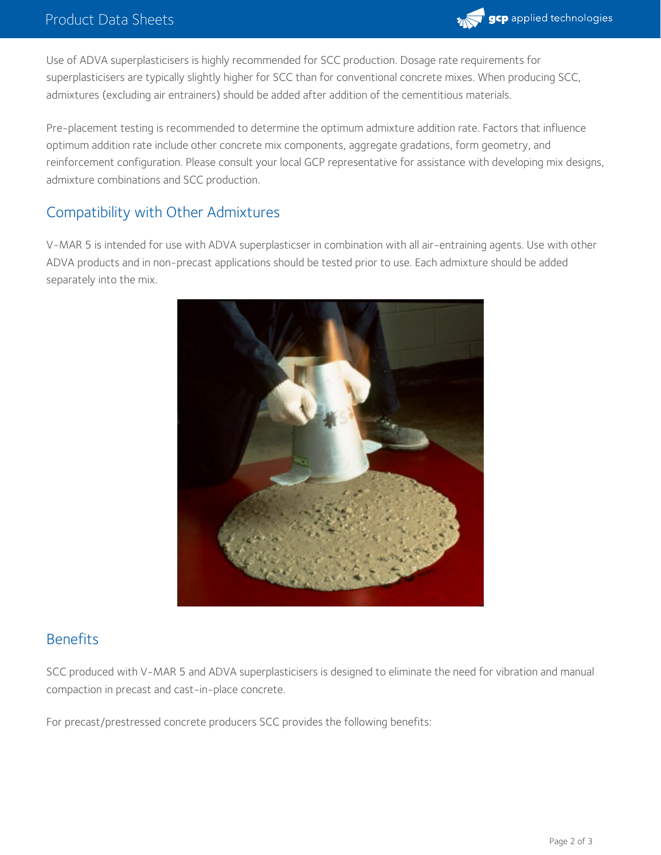

Use of ADVA superplasticisers is highly recommended for SCC production. Dosage rate requirements for superplasticisers are typically slightly higher for SCC than for conventional concrete mixes. When producing SCC, admixtures (excluding air entrainers) should be added after addition of the cementitious materials.

Pre-placement testing is recommended to determine the optimum admixture addition rate. Factors that influence optimum addition rate include other concrete mix components, aggregate gradations, form geometry, and reinforcement configuration. Please consult your local GCP representative for assistance with developing mix designs, admixture combinations and SCC production.

## Compatibility with Other Admixtures

V-MAR 5 is intended for use with ADVA superplasticser in combination with all air-entraining agents. Use with other ADVA products and in non-precast applications should be tested prior to use. Each admixture should be added separately into the mix.



#### Benefits

SCC produced with V-MAR 5 and ADVA superplasticisers is designed to eliminate the need for vibration and manual compaction in precast and cast-in-place concrete.

For precast/prestressed concrete producers SCC provides the following benefits: